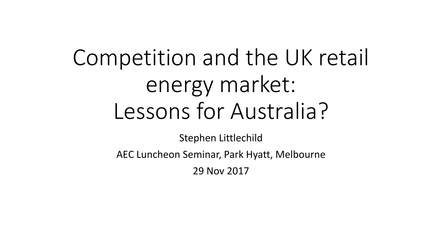# Competition and the UK retail energy market: Lessons for Australia?

Stephen Littlechild

AEC Luncheon Seminar, Park Hyatt, Melbourne

29 Nov 2017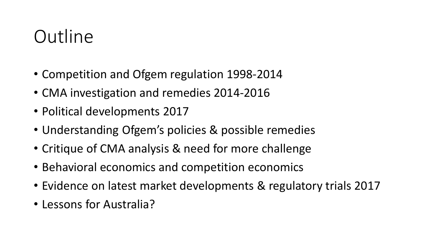# **Outline**

- Competition and Ofgem regulation 1998-2014
- CMA investigation and remedies 2014-2016
- Political developments 2017
- Understanding Ofgem's policies & possible remedies
- Critique of CMA analysis & need for more challenge
- Behavioral economics and competition economics
- Evidence on latest market developments & regulatory trials 2017
- Lessons for Australia?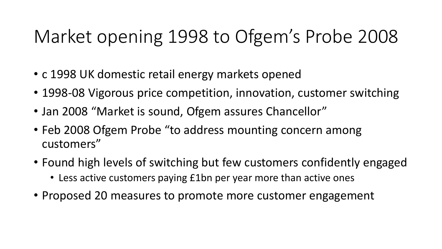# Market opening 1998 to Ofgem's Probe 2008

- c 1998 UK domestic retail energy markets opened
- 1998-08 Vigorous price competition, innovation, customer switching
- Jan 2008 "Market is sound, Ofgem assures Chancellor"
- Feb 2008 Ofgem Probe "to address mounting concern among customers"
- Found high levels of switching but few customers confidently engaged • Less active customers paying £1bn per year more than active ones
- Proposed 20 measures to promote more customer engagement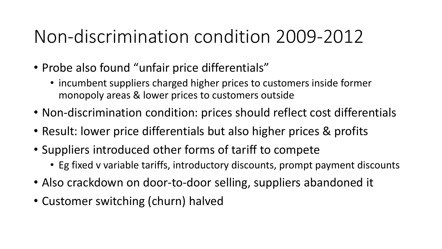# Non-discrimination condition 2009-2012

- Probe also found "unfair price differentials"
	- incumbent suppliers charged higher prices to customers inside former monopoly areas & lower prices to customers outside
- Non-discrimination condition: prices should reflect cost differentials
- Result: lower price differentials but also higher prices & profits
- Suppliers introduced other forms of tariff to compete
	- Eg fixed v variable tariffs, introductory discounts, prompt payment discounts
- Also crackdown on door-to-door selling, suppliers abandoned it
- Customer switching (churn) halved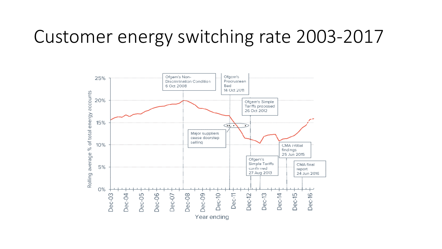### Customer energy switching rate 2003-2017

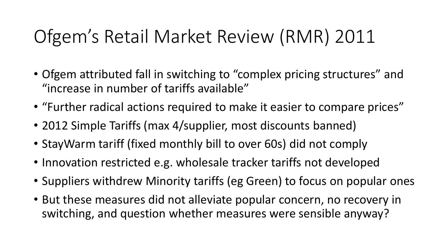# Ofgem's Retail Market Review (RMR) 2011

- Ofgem attributed fall in switching to "complex pricing structures" and "increase in number of tariffs available"
- "Further radical actions required to make it easier to compare prices"
- 2012 Simple Tariffs (max 4/supplier, most discounts banned)
- StayWarm tariff (fixed monthly bill to over 60s) did not comply
- Innovation restricted e.g. wholesale tracker tariffs not developed
- Suppliers withdrew Minority tariffs (eg Green) to focus on popular ones
- But these measures did not alleviate popular concern, no recovery in switching, and question whether measures were sensible anyway?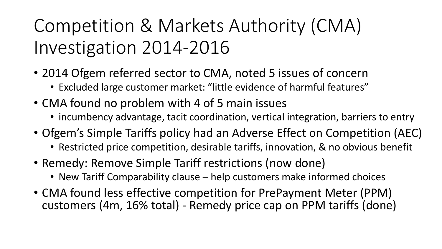# Competition & Markets Authority (CMA) Investigation 2014-2016

- 2014 Ofgem referred sector to CMA, noted 5 issues of concern
	- Excluded large customer market: "little evidence of harmful features"
- CMA found no problem with 4 of 5 main issues
	- incumbency advantage, tacit coordination, vertical integration, barriers to entry
- Ofgem's Simple Tariffs policy had an Adverse Effect on Competition (AEC)
	- Restricted price competition, desirable tariffs, innovation, & no obvious benefit
- Remedy: Remove Simple Tariff restrictions (now done)
	- New Tariff Comparability clause help customers make informed choices
- CMA found less effective competition for PrePayment Meter (PPM) customers (4m, 16% total) - Remedy price cap on PPM tariffs (done)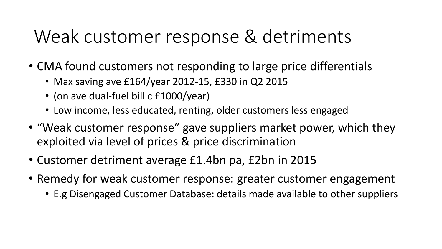# Weak customer response & detriments

- CMA found customers not responding to large price differentials
	- Max saving ave £164/year 2012-15, £330 in Q2 2015
	- (on ave dual-fuel bill c £1000/year)
	- Low income, less educated, renting, older customers less engaged
- "Weak customer response" gave suppliers market power, which they exploited via level of prices & price discrimination
- Customer detriment average £1.4bn pa, £2bn in 2015
- Remedy for weak customer response: greater customer engagement
	- E.g Disengaged Customer Database: details made available to other suppliers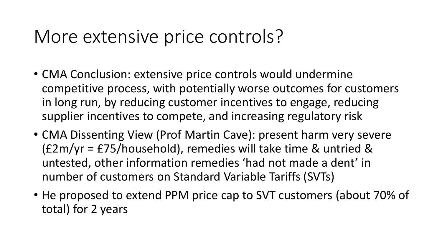### More extensive price controls?

- CMA Conclusion: extensive price controls would undermine competitive process, with potentially worse outcomes for customers in long run, by reducing customer incentives to engage, reducing supplier incentives to compete, and increasing regulatory risk
- CMA Dissenting View (Prof Martin Cave): present harm very severe (£2m/yr = £75/household), remedies will take time & untried & untested, other information remedies 'had not made a dent' in number of customers on Standard Variable Tariffs (SVTs)
- He proposed to extend PPM price cap to SVT customers (about 70% of total) for 2 years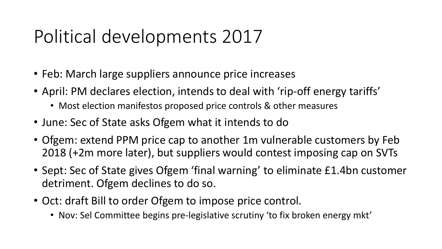# Political developments 2017

- Feb: March large suppliers announce price increases
- April: PM declares election, intends to deal with 'rip-off energy tariffs'
	- Most election manifestos proposed price controls & other measures
- June: Sec of State asks Ofgem what it intends to do
- Ofgem: extend PPM price cap to another 1m vulnerable customers by Feb 2018 (+2m more later), but suppliers would contest imposing cap on SVTs
- Sept: Sec of State gives Ofgem 'final warning' to eliminate £1.4bn customer detriment. Ofgem declines to do so.
- Oct: draft Bill to order Ofgem to impose price control.
	- Nov: Sel Committee begins pre-legislative scrutiny 'to fix broken energy mkt'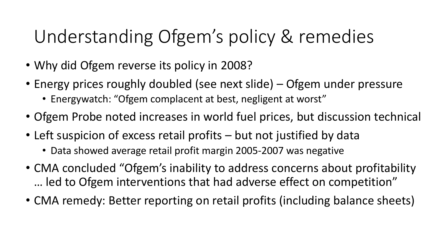# Understanding Ofgem's policy & remedies

- Why did Ofgem reverse its policy in 2008?
- Energy prices roughly doubled (see next slide) Ofgem under pressure
	- Energywatch: "Ofgem complacent at best, negligent at worst"
- Ofgem Probe noted increases in world fuel prices, but discussion technical
- Left suspicion of excess retail profits but not justified by data
	- Data showed average retail profit margin 2005-2007 was negative
- CMA concluded "Ofgem's inability to address concerns about profitability … led to Ofgem interventions that had adverse effect on competition"
- CMA remedy: Better reporting on retail profits (including balance sheets)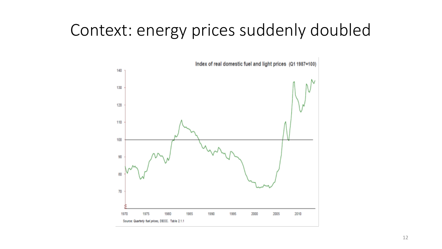### Context: energy prices suddenly doubled

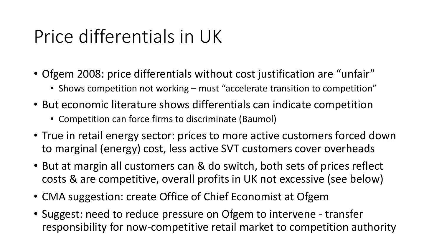# Price differentials in UK

- Ofgem 2008: price differentials without cost justification are "unfair"
	- Shows competition not working must "accelerate transition to competition"
- But economic literature shows differentials can indicate competition
	- Competition can force firms to discriminate (Baumol)
- True in retail energy sector: prices to more active customers forced down to marginal (energy) cost, less active SVT customers cover overheads
- But at margin all customers can & do switch, both sets of prices reflect costs & are competitive, overall profits in UK not excessive (see below)
- CMA suggestion: create Office of Chief Economist at Ofgem
- Suggest: need to reduce pressure on Ofgem to intervene transfer responsibility for now-competitive retail market to competition authority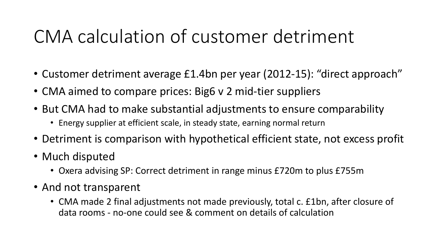# CMA calculation of customer detriment

- Customer detriment average £1.4bn per year (2012-15): "direct approach"
- CMA aimed to compare prices: Big6 v 2 mid-tier suppliers
- But CMA had to make substantial adjustments to ensure comparability
	- Energy supplier at efficient scale, in steady state, earning normal return
- Detriment is comparison with hypothetical efficient state, not excess profit
- Much disputed
	- Oxera advising SP: Correct detriment in range minus £720m to plus £755m
- And not transparent
	- CMA made 2 final adjustments not made previously, total c. £1bn, after closure of data rooms - no-one could see & comment on details of calculation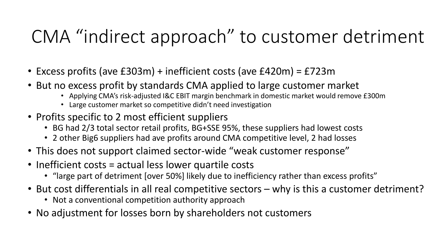# CMA "indirect approach" to customer detriment

- Excess profits (ave £303m) + inefficient costs (ave £420m) = £723m
- But no excess profit by standards CMA applied to large customer market
	- Applying CMA's risk-adjusted I&C EBIT margin benchmark in domestic market would remove £300m
	- Large customer market so competitive didn't need investigation
- Profits specific to 2 most efficient suppliers
	- BG had 2/3 total sector retail profits, BG+SSE 95%, these suppliers had lowest costs
	- 2 other Big6 suppliers had ave profits around CMA competitive level, 2 had losses
- This does not support claimed sector-wide "weak customer response"
- Inefficient costs = actual less lower quartile costs
	- "large part of detriment [over 50%] likely due to inefficiency rather than excess profits"
- But cost differentials in all real competitive sectors why is this a customer detriment?
	- Not a conventional competition authority approach
- No adjustment for losses born by shareholders not customers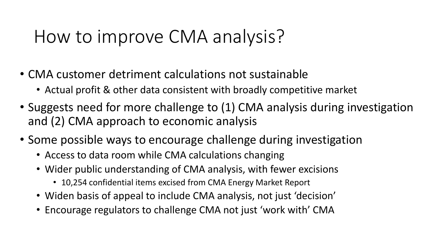### How to improve CMA analysis?

- CMA customer detriment calculations not sustainable
	- Actual profit & other data consistent with broadly competitive market
- Suggests need for more challenge to (1) CMA analysis during investigation and (2) CMA approach to economic analysis
- Some possible ways to encourage challenge during investigation
	- Access to data room while CMA calculations changing
	- Wider public understanding of CMA analysis, with fewer excisions
		- 10,254 confidential items excised from CMA Energy Market Report
	- Widen basis of appeal to include CMA analysis, not just 'decision'
	- Encourage regulators to challenge CMA not just 'work with' CMA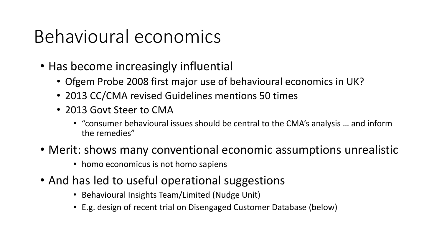# Behavioural economics

- Has become increasingly influential
	- Ofgem Probe 2008 first major use of behavioural economics in UK?
	- 2013 CC/CMA revised Guidelines mentions 50 times
	- 2013 Govt Steer to CMA
		- "consumer behavioural issues should be central to the CMA's analysis … and inform the remedies"
- Merit: shows many conventional economic assumptions unrealistic
	- homo economicus is not homo sapiens
- And has led to useful operational suggestions
	- Behavioural Insights Team/Limited (Nudge Unit)
	- E.g. design of recent trial on Disengaged Customer Database (below)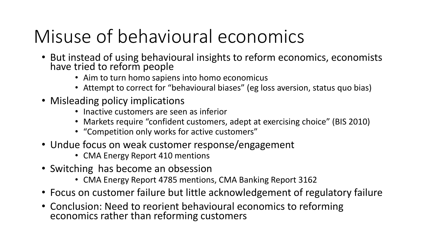# Misuse of behavioural economics

- But instead of using behavioural insights to reform economics, economists have tried to reform people
	- Aim to turn homo sapiens into homo economicus
	- Attempt to correct for "behavioural biases" (eg loss aversion, status quo bias)
- Misleading policy implications
	- Inactive customers are seen as inferior
	- Markets require "confident customers, adept at exercising choice" (BIS 2010)
	- "Competition only works for active customers"
- Undue focus on weak customer response/engagement
	- CMA Energy Report 410 mentions
- Switching has become an obsession
	- CMA Energy Report 4785 mentions, CMA Banking Report 3162
- Focus on customer failure but little acknowledgement of regulatory failure
- Conclusion: Need to reorient behavioural economics to reforming economics rather than reforming customers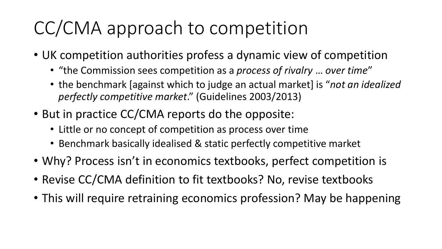# CC/CMA approach to competition

- UK competition authorities profess a dynamic view of competition
	- "the Commission sees competition as a *process of rivalry* … *over time*"
	- the benchmark [against which to judge an actual market] is "*not an idealized perfectly competitive market*." (Guidelines 2003/2013)
- But in practice CC/CMA reports do the opposite:
	- Little or no concept of competition as process over time
	- Benchmark basically idealised & static perfectly competitive market
- Why? Process isn't in economics textbooks, perfect competition is
- Revise CC/CMA definition to fit textbooks? No, revise textbooks
- This will require retraining economics profession? May be happening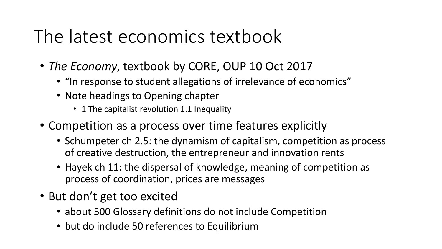# The latest economics textbook

- *The Economy*, textbook by CORE, OUP 10 Oct 2017
	- "In response to student allegations of irrelevance of economics"
	- Note headings to Opening chapter
		- 1 The capitalist revolution 1.1 Inequality
- Competition as a process over time features explicitly
	- Schumpeter ch 2.5: the dynamism of capitalism, competition as process of creative destruction, the entrepreneur and innovation rents
	- Hayek ch 11: the dispersal of knowledge, meaning of competition as process of coordination, prices are messages
- But don't get too excited
	- about 500 Glossary definitions do not include Competition
	- but do include 50 references to Equilibrium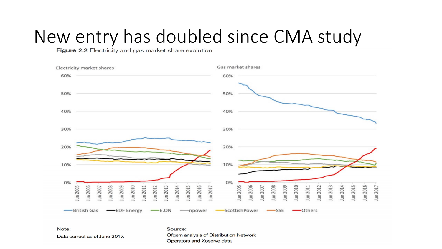# New entry has doubled since CMA study



Note:

Data correct as of June 2017.

Source: Ofgem analysis of Distribution Network Operators and Xoserve data.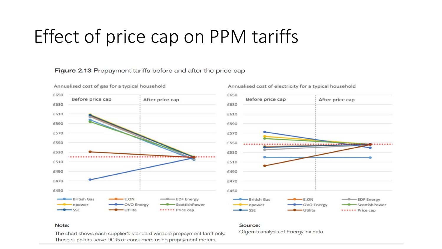# Effect of price cap on PPM tariffs

#### Figure 2.13 Prepayment tariffs before and after the price cap



#### Annualised cost of electricity for a typical household



#### Note:

The chart shows each supplier's standard variable prepayment tariff only. These suppliers serve 90% of consumers using prepayment meters.

#### Source:

Ofgem's analysis of Energylinx data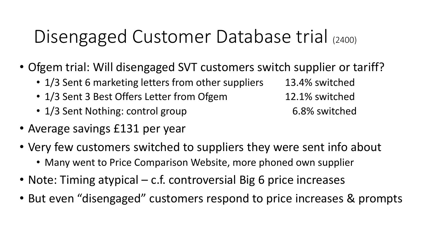# Disengaged Customer Database trial (2400)

- Ofgem trial: Will disengaged SVT customers switch supplier or tariff?
	- 1/3 Sent 6 marketing letters from other suppliers 13.4% switched
	- 1/3 Sent 3 Best Offers Letter from Ofgem 12.1% switched
	- 1/3 Sent Nothing: control group 6.8% switched
- Average savings £131 per year
- Very few customers switched to suppliers they were sent info about
	- Many went to Price Comparison Website, more phoned own supplier
- Note: Timing atypical c.f. controversial Big 6 price increases
- But even "disengaged" customers respond to price increases & prompts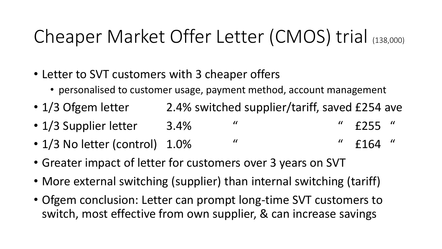# Cheaper Market Offer Letter (CMOS) trial (138,000)

- Letter to SVT customers with 3 cheaper offers
	- personalised to customer usage, payment method, account management
- 1/3 Ofgem letter 2.4% switched supplier/tariff, saved £254 ave
- 1/3 Supplier letter 3.4% " " E255"
- $1/3$  No letter (control)  $1.0\%$  "  $\qquad$  "  $\qquad$   $\qquad$  "  $\qquad$  £164 "
- Greater impact of letter for customers over 3 years on SVT
- More external switching (supplier) than internal switching (tariff)
- Ofgem conclusion: Letter can prompt long-time SVT customers to switch, most effective from own supplier, & can increase savings